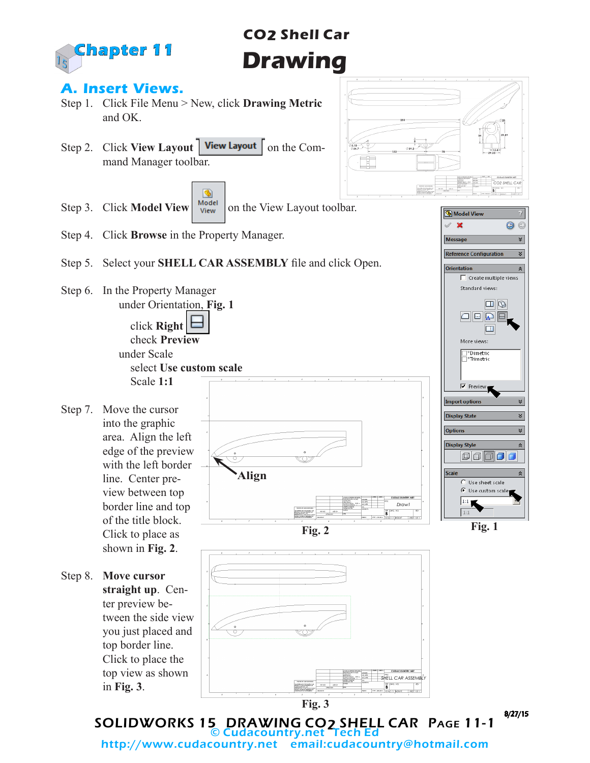

# **CO2 Shell Car Drawing**

 $\frac{3.18}{0.34.7}$ Ī

#### **A. Insert Views.**

- Step 1. Click File Menu > New, click **Drawing Metric** and OK.
- Step 2. Click **View Layout** | **View Layout** | on the Command Manager toolbar.



- Step 4. Click **Browse** in the Property Manager.
- Step 5. Select your **SHELL CAR ASSEMBLY** file and click Open.

**Align**

Step 6. In the Property Manager under Orientation, **Fig. 1** click **Right** 

> check **Preview** under Scale select **Use custom scale** Scale **1:1**

Step 7. Move the cursor into the graphic area. Align the left edge of the preview with the left border line. Center preview between top border line and top of the title block. Click to place as

shown in **Fig. 2**.

Step 8. **Move cursor straight up**. Center preview between the side view you just placed and top border line. Click to place the top view as shown in **Fig. 3**.





8/27/15

SOLIDWORKS 15 DRAWING CO2 SHELL CAR Page 11-1 © Cudacountry.net Tech Ed http://www.cudacountry.net email:cudacountry@hotmail.com

**Fig. 3**

SHEIL CAR ASSEMBL  $\overline{\mathbf{B}}^{\circ}$ in kassa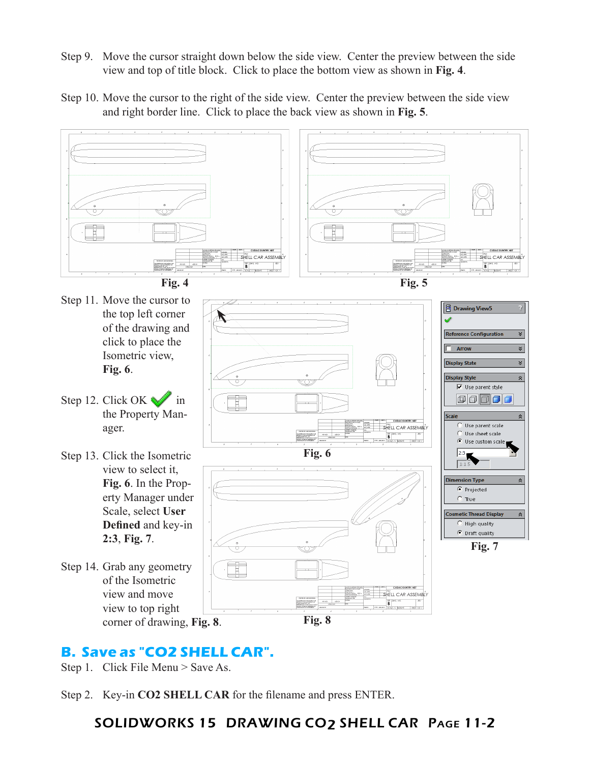- Step 9. Move the cursor straight down below the side view. Center the preview between the side view and top of title block. Click to place the bottom view as shown in **Fig. 4**.
- Step 10. Move the cursor to the right of the side view. Center the preview between the side view and right border line. Click to place the back view as shown in **Fig. 5**.



## **B. Save as "CO2 SHELL CAR".**

Step 1. Click File Menu > Save As.

Step 2. Key-in **CO2 SHELL CAR** for the filename and press ENTER.

#### SOLIDWORKS 15 DRAWING CO2 SHELL CAR Page 11-2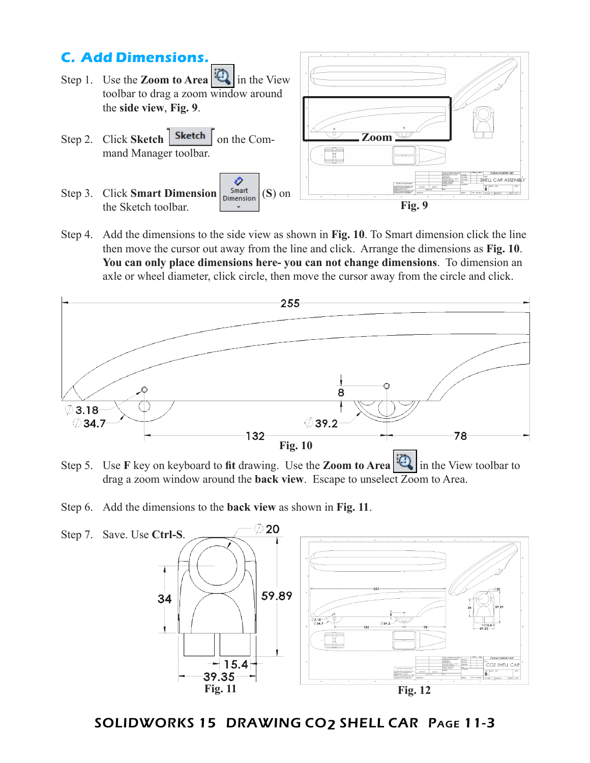

Step 4. Add the dimensions to the side view as shown in **Fig. 10**. To Smart dimension click the line then move the cursor out away from the line and click. Arrange the dimensions as **Fig. 10**. **You can only place dimensions here- you can not change dimensions**. To dimension an axle or wheel diameter, click circle, then move the cursor away from the circle and click.



- Step 5. Use **F** key on keyboard to **fit** drawing. Use the **Zoom to Area** in the View toolbar to drag a zoom window around the **back view**.Escape to unselect Zoom to Area.
- Step 6. Add the dimensions to the **back view** as shown in **Fig. 11**.



SOLIDWORKS 15 DRAWING CO2 SHELL CAR Page 11-3